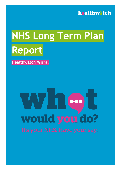

# **NHS Long Term Plan Report**

**Healthwatch Wirral**

# 000 would you do?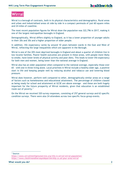# **Wirral**

Wirral is a borough of contrasts, both in its physical characteristics and demographics. Rural areas and urban and industrialised areas sit side by side in a compact peninsula of just 60 square miles and 24 miles of coastline.

The most recent population figures for Wirral show the population was 322,796 in 2017, making it one of the largest metropolitan boroughs in England.

Demographically, Wirral differs slightly to England, as it has a lower proportion of younger adults in their 20s and 30s and a higher proportion of older people.

In addition, life expectancy varies by around 10 years between wards in the East and West of Wirral, reflecting the large inequalities which are apparent in the Borough.

Wirral is one of the 20% most deprived boroughs in England and about a quarter of children live in low income families. Poorer health outcomes are present in these areas, with people more likely to smoke, have lower levels of physical activity and poor diets. This leads to lower life expectancy for both men and women, being lower than the national average in England.

Wirral also has an older population when compared to the national average, especially those over 65 – with one in three living alone. Local priorities in Wirral include a healthy older age, a positive start in life and keeping people well by reducing alcohol and tobacco use and lowering blood pressure.

Wirral does however, perform well compared to other, demographically similar areas on a range of factors such as homelessness and educational attainment. The percentage of children classed as being ready for school and attainment at GCSE are above average – and these are both hugely important for the future prosperity of Wirral residents, given that education is an established route out of poverty.<sup>1</sup>

On the Wirral we received 320 survey responses, consisting of 257 general surveys and 63 specific condition surveys. There were also 24 attendees across two specific focus group events.

 $\overline{a}$ 

<sup>1</sup> Source: *<https://www.wirralintelligenceservice.org/this-is-wirral/wirral-population/> <https://www.cheshireandmerseysidepartnership.co.uk/your-area/wirral>*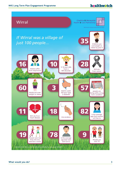# healthwotch

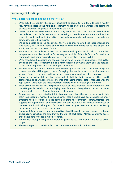# **Summary of Findings:**

# What matters most to people on the Wirral?

- When asked to consider what is most important to people to help them to lead a healthy life, **having access to the help and treatment needed** when it is wanted was deemed to be most important by people responding to the survey.
- Additionally, when asked to think of one thing that would help them to lead a healthy life, respondents primarily focused on factors relating to **health information and education**, access to health and wellbeing activity, access to community and transport support, and timely services to healthcare.
- We asked people to tell us about what they feel is important to keep independence and stay healthy in later life. **Being able to stay in their own home for as long as possible** was by far the most important factor.
- We also asked respondents to think about one more thing that would help to retain their independence and live healthily for as long as possible. Primarily factors focused upon **community and home support**, loneliness, communication and accessibility.
- When asked about managing and choosing support and treatment, respondents told us that **choosing the right treatment being a joint decision** between them and the relevant health and care professional is most important to them.
- We also asked respondents to tell us one more thing that would help them to manage and choose how the NHS supports them. Emerging themes included community care and support, finance, resources and investment, appointments and **use of technology**.
- People in the Wirral told us that **being able to talk to their doctor or other health professional** and having absolute confidence that **their personal data is managed well** and kept secure, were both the most important factors when interacting with the NHS.
- When asked to consider what respondents felt was most important when interacting with the NHS, people said that the most highly rated factor was being able to talk to the doctor or other health care professionals wherever they were.
- Respondents were then asked to think about one more thing that needs to change to help them to successfully manage health and care. These answers have been categorised under emerging themes, which included factors relating to technology, **communication and support**, GP appointments and information and self-help provision. People commented on the need for individual support for those in need to give reassurance to other family members and get more home care support.
- People with Cancer told us they were **positive about the quality of assessment, treatment and support**, as well as the time they had to wait at each stage. Although ability to access ongoing support provided a mixed response.
- People with multiple long-term conditions generally felt this made it harder to access support.
- Those with specific conditions felt that **communications could be improved**.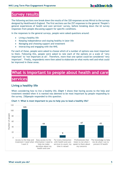# **Survey results**

The following sections now break down the results of the 320 responses across Wirral to the surveys designed by Healthwatch England. The first sections use the 257 responses to the general 'People's general experiences of health and care services' survey, before breaking down the 63 survey responses from people discussing support for specific conditions.

In the responses to the general surveys, people were asked questions around:

- Living a healthy life
- Keeping independence and staying healthy in later life
- Managing and choosing support and treatment
- Interacting and engaging with the NHS.

For each of these, people were asked to choose which of a number of options was most important to them. Following this, people were asked to rate each of the options on a scale of 'very important' to 'not important at all'. Therefore, more than one option could be considered 'very important'. Finally, respondents were then asked to elaborate on what works well and what could be improved in these areas.

# **What is important to people about health and care**

# **services**

# **Living a healthy life**

When considering how to live a healthy life, **Chart 1** shows that having access to the help and treatment needed when it is wanted was deemed to be most important by people responding to the survey. 250people responded to this question.



**Chart 1: What is most important to you to help you to lead a healthy life?**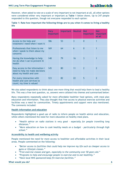However, when asked to rate on a scale of very important to not important at all, all other options were considered either very important or important as **Table 1** below shows. Up to 247 people responded to this question, though not everyone responded to each option:

|      | Table 1: Rate how important the following things are to you when it comes to living a healthy |  |  |  |  |
|------|-----------------------------------------------------------------------------------------------|--|--|--|--|
| life |                                                                                               |  |  |  |  |

|                                                                                                | <b>Very</b><br>important | <b>Important</b> | <b>Neutral</b> | <b>Not</b><br><i>important</i> | <b>Not</b><br>important<br>at all |
|------------------------------------------------------------------------------------------------|--------------------------|------------------|----------------|--------------------------------|-----------------------------------|
| Access to the help and<br>treatment I need when I want it                                      | 186                      | 53               | $\overline{3}$ | $\overline{0}$                 | 1                                 |
| Professionals that listen to me<br>when I speak to them about my<br>concerns                   | 169                      | 64               | 6              | $\overline{0}$                 | 1                                 |
| Having the knowledge to help<br>me do what I can to prevent ill<br>health                      | 148                      | 79               | 16             | 3                              | 1                                 |
| Easy access to the information I<br>need to help me make decisions<br>about my health and care | 145                      | 80               | 11             | $\overline{2}$                 | $\overline{2}$                    |
| For every interaction with<br>health and care services to<br>count; my time is valued          | 123                      | 82               | 22             | 5                              | $\overline{\mathbf{z}}$           |

We also asked respondents to think about one more thing that would help them to lead a healthy life. This was a free text question, so, answers were collated into themes and summarised below:

Many respondents repeatedly asked for more affordable healthier food options, with meal plan education and information. They also thought that free access to physical exercise activities and facilities was a need for communities. Timely appointments and support were also mentioned. The comments included:

# **Health information and education**

Respondents highlighted a good use of radio to inform people on health advice and education, whilst others mentioned the need for more education on healthy meal plans.

- *"Health advice on radio stations is very good - especially for people travelling long distances."*
- *"More education on how to cook healthy meals on a budget - particularly through high school."*

# **Accessibility to health and wellbeing activity**

People mentioned the need for more access to healthier and affordable activities in their local areas. People commented on the following:

- *"Better access to facilities that could help me improve my life such as cheaper access to gyms or lifestyle classes."*
- *"Free exercise classes and gym, especially to the community over 50 years old."*
- *"Programs to help and encourage people to exercise and to eat healthily."*
- *"Have local NHS sponsored keep fit/exercise facilities."*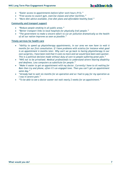- *"Easier access to appointments before/after work hours (9-5)."*
- *"Free access to council gym, exercise classes and other facilities."*
- *"More diet advice available, free diet plans and affordable healthy food."*

# **Community and transport support**

- *"Reduce people smoking in all public areas."*
- *"Better transport links to local hospitals for physically frail people."*
- *"The government to make a sincere effort to cut air pollution dramatically so the health of all our nation improves as soon as possible."*

# **Timely services for health care**

- *"Ability to speed up physiotherapy appointments, in our area we now have to wait 6 months for our first consultation. If I have problems with sciatica for instance what good is an appointment 6 months later. Why can't we go back to having physiotherapy in our own surgeries, I have been told that it costs no more and we would have been seen quicker. This is a political decision made without duty of care to people suffering great pain."*
- *"NHS not to be privatised. Medical professionals to understand severe hearing disability and deafness. Less computers as substitute for people."*
- *"Make it easier to get an appointment with my doctor. Currently I have to sit waiting for 8am then try and phone, often it's an engaged tone. Then you can't get an appointment same day."*
- *"Already had to wait six months for an operation and so I had to pay for my operation as I was in severe pain."*
- *"To be able to see a doctor sooner not wait nearly 2 weeks for an appointment."*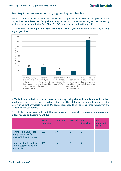# **Keeping independence and staying healthy in later life**

We asked people to tell us about what they feel is important about keeping independence and staying healthy in later life. Being able to stay in their own home for as long as possible was by far the most important factor (see **Chart 2**). 249 people responded to this question.





In **Table 2** when asked to rate this however, although being able to live independently in their own home is rated as the most important, all of the other statements identified were also rated as very important or important. Up to 243 people responded to this question, though not everyone responded to each option.

**Table 2: Rate how important the following things are to you when it comes to keeping your independence and ageing healthily:**

|                                                                                   | <b>Very</b><br><i>important</i> | <b>Important</b> | <b>Neutral</b> | <b>Not</b><br>important | <b>Not</b><br>important<br>at all |
|-----------------------------------------------------------------------------------|---------------------------------|------------------|----------------|-------------------------|-----------------------------------|
| I want to be able to stay<br>in my own home for as<br>long as it is safe to do so | 202                             | 30               | 8              | 2                       |                                   |
| I want my family and me<br>to feel supported at the<br>end of life                | 169                             | 56               |                |                         |                                   |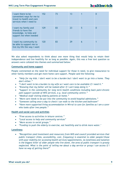| I want there to be<br>convenient ways for me to<br>travel to health and care<br>services when I need to | 152 | 73 | 13 |   | 0 |
|---------------------------------------------------------------------------------------------------------|-----|----|----|---|---|
| I want my family and<br>friends to have the<br>knowledge, to help and<br>support me when needed         | 129 | 83 | 23 | 5 | 0 |
| I want my community to<br>be able to support me to<br>live my life the way I want                       | 120 | 83 | 29 | 6 |   |

We also asked respondents to think about one more thing that would help to retain their independence and live healthily for as long as possible. Again, this was a free text question so answers were collated into themes and summarised below:

# **Community and home support**

People commented on the need for individual support for those in need, to give reassurance to other family members and get more home care support. People said the following:

- *"Help for my kids. I don't want to be a burden but I don't want to go into a home. They don't either."*
- *"I don't want to be a burden to my wife so I want care to be available if I need it."*
- *"Knowing that my father will be looked after if I can't keep doing it."*
- *"Support in the community for long term health conditions including back pain/chronic pain support outside of NHS services, e.g. local community centre."*
- *"Medical staff visiting elderly patients at home."*
- *"More care needs to be put into the community to avoid hospital admissions."*
- *"Someone calling once a day to check I can walk to the kitchen and bathroom"*
- *"Have more supported living accommodation in Wirral to care for families as I am a carer who looks after two people."*

# **Health and social care and activities**

- *"Free access to activities in leisure centres."*
- *"Local access to help and community services"*
- *"More access to social groups."*
- *"Funding to push the elderly to exercise, eat healthily and to drink more water."*

# **Loneliness**

• *"Recognition (and investment and resources) from NHS and council provided services that public transport (links, accessibility, cost, frequency) is essential to older people/those with poor mobility for accessing health services/appointments. As loneliness and isolation is the biggest killer of older people who live alone, the area of public transport is grossly neglected. What is the point of telling me about a day service or group I can access if I have no way of getting there?"*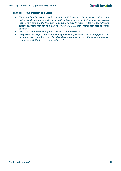# **Health care communication and access**

- *"The interface between council care and the NHS needs to be smoother and not be a matter for the patient to sort out. In political terms, there shouldn't be a tussle between local government and the NHS over who pays for what. Perhaps it is time to fix individual patient budgets which can be allocated to hospital/GP/council, rather than setting overall budgets."*
- *"More care in the community for those who need to access it."*
- *"Easy access to professional care including domiciliary care and help to keep people out of care homes or hospitals, not charities who are not always clinically trained, are run as businesses with the CEOs on mega salaries."*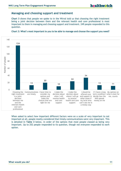# **Managing and choosing support and treatment**

**Chart 3** shows that people we spoke to in the Wirral told us that choosing the right treatment being a joint decision between them and the relevant health and care professional is most important to them in managing and choosing support and treatment. 249 people responded to this question.



### **Chart 3: What's most important to you to be able to manage and choose the support you need?**

When asked to select how important different factors were on a scale of very important to not important at all, people mostly considered that timely communications were very important. This is detailed in **Table 3** below, in order of the options that most people classed as being very important. Up to 252 people responded to tis question, though not everyone responded to eavh option.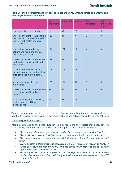# **Table 3: Rate how important the following things are to you when it comes to managing and choosing the support you need**

|                                                                                                                    | <b>Very</b><br>important | <b>Important</b> | <b>Neutral</b> | <b>Not</b><br>important | <b>Not</b><br>important<br>at all |
|--------------------------------------------------------------------------------------------------------------------|--------------------------|------------------|----------------|-------------------------|-----------------------------------|
| Communications are timely                                                                                          | 163                      | 64               | 12             | $\overline{0}$          | $\overline{0}$                    |
| Choosing the right treatment is a<br>joint decision between me and<br>the relevant health and care<br>professional | 159                      | 84               | 9              | $\overline{0}$          | $\overline{0}$                    |
| I have time to consider my<br>options and make the choices<br>that are right for me                                | 121                      | 102              | 13             | $\overline{4}$          | $\mathbf{0}$                      |
| I make the decision about where<br>I will go to receive health and<br>care support                                 | 112                      | 83               | 38             | $\overline{3}$          | $\overline{2}$                    |
| I should be offered care and<br>support in other areas if my local<br>area can't see me in a timely<br>way         | 108                      | 106              | 26             | $\overline{3}$          | $\mathbf{1}$                      |
| My opinion on what is best for<br>me, counts                                                                       | 106                      | 102              | 30             | $\overline{0}$          | $\overline{0}$                    |
| I make the decision about when I<br>will receive health and care<br>support                                        | 92                       | 96               | 43             | 9                       | $\overline{0}$                    |
| If I have a long-term condition, I<br>decide how the NHS spends<br>money on me                                     | 79                       | 92               | 32             | 13                      | $\overline{2}$                    |

We also asked respondents to tell us one more thing that would help them to manage and choose how the NHS supports them. Answers have been collated and categorised under emerging themes.

# **Community and care support**

People commented on their individual service experience and the support they need, covering staff training and information on getting help and support. The comments included:

- *"More timely primary care appointments and a short secondary care waiting time"*
- *"My experience of Arrowe Park is being taken towards unsuitable for my condition."*
- *"More local authority care in my older age. Not with private, for profit only, older people's care."*
- *"Trained health professionals that understand the latest research in regards to ME/CFS"*
- *"I need to fit appointments around my work and caring for my father so the out of hours appointments have been good for me."*
- *"Better information on what professional help and support is available in the local area, not charities who are not always clinically trained, are run as businesses with the CEO's on mega salaries."*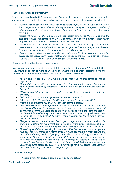# **Finance, resources and investment**

People commented on the NHS investment and financial circumstances to support the community, others commented on the transport and car parking service charges. The comments included:

- *"Ability to see a consultant without having to resort to paying for a private consultation. Many people cannot afford this usually large amount; therefore, the system is unfair. If other methods of treatment have failed, then surely it is not too much to ask to see a consultant."*
- *"Sufficient funding of the NHS to ensure local health care needs ARE met and that the best care is given. Privatisation of the NHS is dangerous as there is evidence from health professionals that some outsourced health services are poor."*
- *"Investment and resources in health and social care services in my community as prevention and community-based services would give me freedom and genuine choice as to how I manage and choose the way in which the NHS supports me."*
- *"Parking charges visiting hospitals either as visitor, inpatient or attending clinics. Not everybody can afford travel costs whether own or public transport and car park charges feel like a stealth tax and being penalised for somebody's illness."*

# **Appointments and health care experiences**

Many respondents spoke about the accessibility people have at their local GP, some felt that they should be spoken to more as an individual. Others spoke of their experience using the service and how they were treated. The comments are outlined below:

- *"Being able to see a GP without having to phone up several times to get an appointment."*
- *"I would like the health care professionals to listen and talk to patients like normal human beings instead of imbeciles. I would like more than 5 minutes with the Doctor."*
- *"Hospital appointment times - e.g. waited 4 months to see a specialist - had to pay privately."*
- *"Wirral NHS do not have enough resources to meet demand."*
- *"More accessible GP appointments with more support from the same GP."*
- *"More clinics providing healthcare other than seeing a doctor."*
- *"Best case scenario - in my opinion, would be if I could have treatment to alleviate pain in an old bad leg that was operated on 60 years ago, but has now been made bad by injuries incurred 2.5 years ago to other leg breaking Tibia and Fibia and leaning on this has killed old bad leg. Now have to walk with stick even though the new break 2.5 years ago has now mended. Perhaps steroid injections are the answer or perhaps another operation?"*
- *"Proper access. It is almost impossible to get an appointment same day with my GP and online booking for non-urgent appointment is weeks away. Sometimes it might be "urgent" but it could be something that needs seeing to sooner rather than later."*
- *"I need my confidence restoring in hospitals... I've just watched my sister go into hospital with gall stones and within three days she had multiple organ failure and died. She led a very healthy lifestyle, I think doctors acted slowly, she was not CT scanned for 24 hours, probably because of NHS money restraints, the pancreas was in trouble and doctors didn't scan her until the damage was setting in. I do not expect a doctor to say "we're as baffled as you are" how on earth is that meant to reassure us? she was dying before our eyes; we don't even know if it was sepsis. That frightens me. I would never go near Whiston Hospital again."*

# **Use of Technology**

• *"Appointment for doctor's appointments to be available."*

### **What would you do? 13**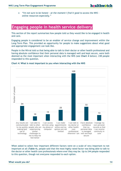• *"I'm not sure to be honest - at the moment I find it good to access the NHS online resources especially."*

# **Engaging people in health service delivery**

This section of the report summarises how people told us they would like to be engaged in health and care.

Engaging people is considered to be an enabler of service change and improvement within the Long-Term Plan. This provided an opportunity for people to make suggestions about what good and appropriate engagement can look like.

People in the Wirral told us that being able to talk to their doctor or other health professional and having absolute confidence that their personal data is managed well and kept secure, were both deemed as the most important when interacting with the NHS (see **Chart 4** below). 238 people responded to this question.



# **Chart 4: What is most important to you when interacting with the NHS**

When asked to select how important different factors were on a scale of very important to not important at all (**Table 4**), people said that the most highly rated factor was being able to talk to the doctor or other health care professionals where ever they may be. Up to 244 people responded to this question, though not everyone responded to each option.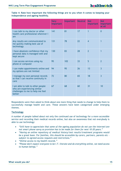|                                                                                                                 | <b>Very</b><br>important | Important | <b>Neutral</b> | <b>Not</b><br>important | <b>Not</b><br>important<br>at all |
|-----------------------------------------------------------------------------------------------------------------|--------------------------|-----------|----------------|-------------------------|-----------------------------------|
| I can talk to my doctor or other<br>health care professional wherever I<br>am                                   | 141                      | 81        | 17             | $\overline{\mathbf{1}}$ | $\overline{0}$                    |
| Any results are communicated to<br>me quickly making best use of<br>technology                                  | 131                      | 78        | 22             | $\overline{4}$          | $\overline{1}$                    |
| I have absolute confidence that my<br>personal data is managed well and<br>kept secure                          | 130                      | 83        | 28             | $\overline{2}$          | $\mathbf 1$                       |
| I can access services using my<br>phone or computer                                                             | 95                       | 102       | 33             | 5                       | $\overline{2}$                    |
| I can make appointments online and<br>my options are not limited                                                | 94                       | 95        | 26             | 13                      | $\overline{3}$                    |
| I manage my own personal records<br>so that I can receive continuity in<br>care                                 | 72                       | 80        | 65             | 18                      | $\overline{3}$                    |
| I am able to talk to other people<br>who are experiencing similar<br>challenges to me to help me feel<br>better | 67                       | 68        | 60             | 31                      | 10                                |

**Table 4: Rate how important the following things are to you when it comes to keeping your independence and ageing healthily.**

Respondents were then asked to think about one more thing that needs to change to help them to successfully manage health and care. These answers have been categorised under emerging themes.

# **Technology**

A number of people talked about not only the continued use of technology for a more accessible service and recording their medical records online, but also an awareness that not everybody is able to use technology:

- *"Still have to appreciate that some of the ageing population do not use the internet/are not smart phone savvy so provision has to be made for them for next 10-20 years."*
- *"Having an online repository of medical history/test results/treatment programs would be a great boon. For families, this should be accessible by carers, partners, parents etc subject to agreed access requests and restrictions."*
- *"Online access to my health records."*
- *"Please don't expect everyone to be I.T. literate and do everything online, we need access to human beings."*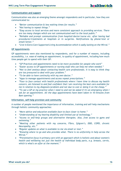# **Communication and support**

Communication was also an emerging theme amongst respondents and in particular, how they are communicated to:

- *"Better communication & less waiting times for results."*
- *"Not having to repeat things."*
- *"Easy access to local services and more consistent approach to providing services. There are too many changes which are not communicated well to the local public."*
- *"Reliable and prompt communication from hospital/doctor/nurse etc. after having had procedures/treatments at hospitals or in surgeries. Notifications by phone/text or email/letter."*
- *"Live in Extra Care Supported Living Accommodation which is sadly lacking on the Wirral."*

# **GP Appointments**

GP appointments were also mentioned by respondents, and for a number of reasons, including accessibility, i.e. ease of making an appointment, to quality of appointment, including how much time people get to spend with their GP:

- *"GP Practices and appointments need to be more accessible for people who work"*
- *"Easier access to GP appointments or nursing staff who can help me when needed."*
- *"Not to feel anxious about contacting health care professionals. It is easy to think they are too pressured to deal with your problem."*
- *"To be able to have continuity with my own doctor."*
- *"Apps to manage appointments and access repeat prescriptions."*
- *"Face to face contact with health professionals where I have time to discuss my health concern, am listened to and feel confident that I am receiving the best care available for me in relation to my diagnosis/problem and not due to cost or doing it on the cheap."*
- *"To see a GP at my practice when I need to and not be asked if it's an emergency when I ask for an appointment. All the days appointments have been taken in 10 minutes from 8am opening."*

# **Information, self-help provision and community**

A number of people mentioned the importance of information, training and self-help mechanisms through holistic community approaches:

- *"More advice and education available face-to-face closer to home."*
- *"Understanding of my hearing disability and limited use of technology."*
- *"Access to self-help groups and alternative therapies. Also, free access to gyms and swimming."*
- *"Meeting other patients with my concerns, Fibro, Sjögren's, DDD, COPD, chronic Neuropathy, etc."*
- *"Regular updates on what is available to me via email or text."*
- *"Knowing where to go and who provides what. There is no uniformity in help across the Wirral."*
- *"Preventative focus in primary care with an approach which is holistic and about women's health and wellbeing not just the health of individual body parts, e.g. breasts, cervix, which is what's on offer at the moment."*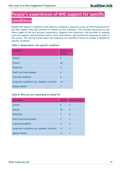# **People's experiences of NHS support for specific conditions**

People with specific conditions were asked to complete a separate survey on their experiences of the NHS support they had received in relation to that condition. This included discussion on the three stages of the care journey; assessment, diagnosis and treatment; the provision of ongoing care and support; and prevention and/or early intervention. We received 63 responses in total to this survey. This section breaks down the responses we received in terms of number of people by specific condition:

# **Table 5: Respondents with specific conditions**

| <b>Condition</b>                             | <b>Number of</b><br>people |
|----------------------------------------------|----------------------------|
| Autism                                       | $\overline{2}$             |
| Cancer                                       | 30                         |
| Dementia                                     | $\overline{4}$             |
| Heart and lung diseases                      | 6                          |
| Learning disability                          | $\Omega$                   |
| Long-term condition e.g. diabetes, arthritis | 14                         |
| <b>Mental Health</b>                         | 7                          |

# **Table 6: Who are you responding on behalf of?**

| <b>Condition</b>                             | <b>Myself</b> | Someone else |
|----------------------------------------------|---------------|--------------|
| Autism                                       | 0             | 2            |
| Cancer                                       | 26            | 4            |
| Dementia                                     | 1             | 3            |
| Heart and lung diseases                      | 3             | 3            |
| Learning disability                          | 0             | $\Omega$     |
| Long-term condition e.g. diabetes, arthritis | 11            | 3            |
| <b>Mental Health</b>                         | 6             |              |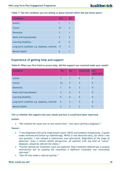**Table 7: Has the condition you are telling us about started within the last three years?**

| <b>Condition</b>                             | <b>Yes</b> | <b>No</b> |
|----------------------------------------------|------------|-----------|
| Autism                                       | 1          |           |
| Cancer                                       | 27         | 3         |
| Dementia                                     | 3          |           |
| Heart and lung diseases                      | 3          | 3         |
| Learning disability                          | 0          |           |
| Long-term condition e.g. diabetes, arthritis | 11         | 3         |
| <b>Mental Health</b>                         | 6          |           |

# **Experience of getting help and support**

**Table 8: When you first tried to access help, did the support you received meet your needs?**

| <b>Condition</b>                             | <b>Yes</b>               | <b>No</b>      | <b>Somewhat</b> | <b>Not</b><br>applicable |
|----------------------------------------------|--------------------------|----------------|-----------------|--------------------------|
| Autism                                       |                          |                | $\Omega$        | 0                        |
| Cancer                                       | 23                       | 3              | $\overline{4}$  | 0                        |
| <b>Dementia</b>                              | $\mathbf 1$              | $\overline{0}$ | $\overline{3}$  | 0                        |
| Heart and lung diseases                      | $\overline{2}$           | $\overline{0}$ | $\overline{3}$  | 0                        |
| Learning disability                          | $\Omega$                 | $\overline{0}$ | $\overline{0}$  | 0                        |
| Long-term condition e.g. diabetes, arthritis | 5                        | 3              | 5               | 0                        |
| <b>Mental Health</b>                         | $\overline{\phantom{a}}$ | 3              | 2               |                          |

**Tell us whether the support met your needs and how it could have been improved.**

# **Autism:**

• *"We realised the issues but no-one would listen - four years getting a diagnosis."*

# **Cancer:**

- *"I was diagnosed with early stage breast cancer (DCIS) and needed a lumpectomy, 2 lymph nodes removed and follow-up radiotherapy. Whilst it was detected early, for which I was very grateful, I was refused a reassurance scan afterwards. Regardless of the stage of detection, from a mental health perspective, all patients with any kind of 'cancer' diagnosis, should be offered the choice."*
- *"Further options for treatment were not explored. Only treatment offered was a surgical intervention but on pushing the consultant a different treatment was reluctantly informed."*
- *"Saw GP who made a referral quickly."*

# **What would you do? 18**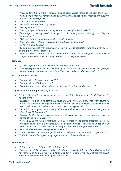- *"It took a long time before I was told I had an adeno cystic cancer at the back of my nose, I had a polyp which was removed and a biopsy taken. I do not think I received any support. I did not seek any support."*
- *"I did not know who to ask."*
- *"MacMillan were only sort of helpful."*
- *"Met my needs 100%."*
- *"Lack of support when not accessing cancer services (i.e. basic NHS)."*
- *"The support met my needs although it took three years to identify and diagnose fibromyalgia."*
- *"Multi-disciplinary team has provided excellent support."*
- *"Quick diagnosis, relevant referrals and good treatment so far."*
- *"So far I've been happy."*
- *"Communication between consultants at the different hospitals could have been better on the time of initial diagnosis."*
- *"Went to Countess of Chester for 3.5 years before GIST tumour was found - they initially thought it was Pancreatic but diagnosed as GIST at Royal Liverpool."*

# **Dementia:**

- *"Quicker appointments. Less time in between appointments."*
- *"Having a regular carer would have been good. Different ones each time was not good for my husband and tiresome for me telling them over and over what we needed."*

# **Heart and lung diseases:**

- *"No support really apart from my GP."*
- *"No support for COPD sufferers."*
- *"I couldn't get a home visit and my daughter had to get me to the surgery."*

# **Long-term condition e.g. diabetes, arthritis:**

- *"Visit to GP, sent for x-ray, prescribed meds, was told I had 'wear and tear'. That was it, no info given."*
- *"Basically, felt like I had painkillers given me and left to plod on. Was scary having no info on the condition. No info on impact on health, or what to expect, no advice on how best to help ease the condition or to slow down the degeneration."*
- *"More info at diagnosis would be good, along with other options such as being told a referral to MSK is possible."*
- *"No coordination in care between primary and secondary care, no continuity of care, no looking at the whole picture."*
- *"Not really. There was no continuity in a large practice. Balancing treatment with five long term conditions is not achievable in an eight-minute consultation unless the GP understands that the easiest option is likely to upset the other four conditions."*
- *"Pain relief could have been provided earlier."*
- *"It met my needs as I was sent for blood tests and found out I needed B12 injections."*
- *"It did in the end but after many appointments. Still not fully sorted."*

# **Mental Health:**

- *"GP just put me on tablets with no follow up."*
- *"I was in a mental health crisis and eventually taken to A&E at Arrowe Park. Having waited for more than half an hour in a large and busy waiting area my distress increased. Eventually seen by a nurse and given medication."*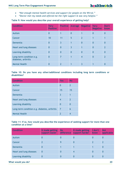- *"Not enough mental health services and support for people on the Wirral."*
- *"Doctor met my needs and offered me the right support & was very helpful."*

# **Table 9: How would you describe your overall experience of getting help?**

| <b>Condition</b>                                | <b>Very</b><br><b>Positive</b> | <b>Positive</b> | <b>Average</b> | <b>Negative</b> | <b>Very</b><br><b>Negative</b> | Don't<br>know            |
|-------------------------------------------------|--------------------------------|-----------------|----------------|-----------------|--------------------------------|--------------------------|
| Autism                                          | 0                              | 1               | $\overline{0}$ | $\mathbf 1$     | 0                              | $\Omega$                 |
| Cancer                                          | 10                             | 11              | 5              | $\overline{2}$  |                                |                          |
| Dementia                                        | 0                              | $\overline{3}$  | 1              | $\overline{0}$  | $\overline{0}$                 | $\Omega$                 |
| Heart and lung diseases                         | $\overline{0}$                 | $\overline{0}$  | $\overline{3}$ | $\mathbf 1$     | $\overline{0}$                 | $\overline{\phantom{a}}$ |
| Learning disability                             | $\Omega$                       | $\overline{0}$  | $\overline{0}$ | $\overline{0}$  | $\overline{0}$                 | $\overline{0}$           |
| Long-term condition e.g.<br>diabetes, arthritis | $\mathbf{0}$                   | $\overline{7}$  | 1              | $\overline{4}$  | 0                              | $\overline{2}$           |
| <b>Mental Health</b>                            | 0                              | 2               |                | 3               |                                |                          |

# **Table 10: Do you have any other/additional conditions including long term conditions or disabilities?**

| <b>Condition</b>                             | <b>Yes</b>     | <b>No</b>               |
|----------------------------------------------|----------------|-------------------------|
| Autism                                       | 0              | $\overline{2}$          |
| Cancer                                       | 15             | 15                      |
| Dementia                                     | 3              | 1                       |
| Heart and lung diseases                      | 4              | $\overline{\mathbf{z}}$ |
| Learning disability                          | 0              | $\Omega$                |
| Long-term condition e.g. diabetes, arthritis | $\overline{7}$ | 6                       |
| <b>Mental Health</b>                         | 2              | 4                       |

# **Table 11: If so, how would you describe the experience of seeking support for more than one condition at a time?**

| <b>Condition</b>        | It made getting<br>support easier | <b>No</b><br>difference | It made getting<br>support harder | I don't<br>know | <b>Not</b><br>applicable |
|-------------------------|-----------------------------------|-------------------------|-----------------------------------|-----------------|--------------------------|
| Autism                  | U                                 | U                       | U                                 | 0               | 0                        |
| Cancer                  |                                   | Q                       |                                   |                 | $\overline{2}$           |
| Dementia                | 0                                 |                         |                                   |                 | 0                        |
| Heart and lung diseases | $\mathbf 0$                       | O                       | 4                                 | 0               | 0                        |
| Learning disability     | 0                                 |                         | U                                 | 0               | 0                        |

# **What would you do? 20**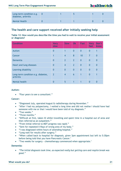| Long-term condition e.g.<br>diabetes, arthritis |  |  |  |
|-------------------------------------------------|--|--|--|
| <b>Mental Health</b>                            |  |  |  |

# **The health and care support received after initially seeking help**

# **Table 12: How would you describe the time you had to wait to receive your initial assessment or diagnosis?**

| <b>Condition</b>                                | <b>Very</b><br>slow | <b>Slow</b>    | Ok             | <b>Fast</b>    | <b>Very</b><br>fast | Don't<br>know  |
|-------------------------------------------------|---------------------|----------------|----------------|----------------|---------------------|----------------|
| Autism                                          | $\bf{0}$            | 1              | $\overline{0}$ | $\mathbf 0$    | $\overline{0}$      | 1              |
| Cancer                                          | 1                   | $\overline{4}$ | 8              | 10             | $\overline{7}$      | $\overline{0}$ |
| <b>Dementia</b>                                 | $\bf{0}$            | $\overline{2}$ | $\overline{2}$ | $\overline{0}$ | $\overline{0}$      | $\mathbf{0}$   |
| Heart and lung diseases                         | $\overline{0}$      | $\overline{4}$ | $\overline{2}$ | $\overline{0}$ | $\overline{0}$      | $\overline{0}$ |
| Learning disability                             | $\bf{0}$            | $\overline{0}$ | $\overline{0}$ | $\overline{0}$ | $\overline{0}$      | $\overline{0}$ |
| Long-term condition e.g. diabetes,<br>arthritis | $\overline{2}$      | $\overline{4}$ | 6              | 1              | $\overline{0}$      | 1              |
| Mental health                                   | 0                   | 5              | $\overline{1}$ | 1              | 0                   | 0              |

# **Autism:**

• *"Four years to see a consultant."*

# **Cancer:**

- "Diagnosed July, operated August & radiotherapy during November."
- "After I had my polypectomy, I waited a long time and did not realise I should have had someone with me or that I would have been told of my diagnosis."
- "Two weeks."
- "Three months."
- "Difficult at first, taken ill whilst travelling and spent time in a hospital out of area and then referred as an outpatient."
- "From initial referral to MDT progress was rapid."
- "Sent for repeated X-Rays of wrong area of my body."
- "I was diagnosed within hours of attending hospital."
- "Long wait for results after surgery."
- "When called back to hospital for diagnosis, given 3pm appointment but left to 5:30pm before being told that you have Pancreatic Cancer."
- "Two weeks for surgery chemotherapy commenced when appropriate."

# **Dementia:**

• *"The initial diagnosis took time, as expected really but getting care and respite break was good."*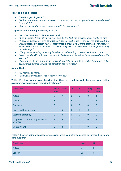# **Heart and lung diseases:**

- *"Couldn't get diagnosis."*
- *"Waited more than six months to see a consultant, this only happened when I was admitted to hospital."*
- *"Two weeks for doctor and nearly a month for follow ups."*

# **Long-term condition e.g. diabetes, arthritis:**

- *"The x-ray and diagnosis were very quick."*
- *"Was dismissed frequently by the GP despite the fact the previous visits had been rare."*
- *"I have a number of rare conditions. I had to wait a long time to get diagnosed and unfortunately my health had to deteriorate a great deal before diagnosis was possible. Better coordination is needed for earlier diagnosis and treatment and to prevent long term damage."*
- *"Only due to needing repeating blood tests and needing to await results each time."*
- *"Accessing the GP took over a week but I had a few visits before being referred on in the system."*
- *"I am waiting to see a physio and was initially told this would be within two weeks. It has been almost six months and the condition has worsened."*

# **Mental Health:**

- *"12 months or more."*
- *"Ten weeks eventually to see 'change' for CBT."*

| <b>Condition</b>                                | <b>Very</b><br>slow | <b>Slow</b>     | <b>OK</b>      | Fast           | <b>Very</b><br>fast | Don't<br>know  |
|-------------------------------------------------|---------------------|-----------------|----------------|----------------|---------------------|----------------|
| Autism                                          | $\overline{0}$      | $\mathbf 1$     | $\overline{0}$ | $\overline{0}$ | $\bf{0}$            | 1              |
| Cancer                                          | $\mathbf 1$         | $\overline{3}$  | $\overline{4}$ | 13             | 8                   | 1              |
| Dementia                                        | $\overline{0}$      | $\mathbf 1$     | $\overline{3}$ | $\overline{0}$ | $\overline{0}$      | $\overline{0}$ |
| Heart and lung diseases                         | $\overline{0}$      | 6               | $\overline{0}$ | $\overline{0}$ | $\overline{0}$      | $\overline{0}$ |
| Learning disability                             | $\overline{0}$      | $\overline{0}$  | $\overline{0}$ | $\overline{0}$ | $\overline{0}$      | $\overline{0}$ |
| Long-term condition e.g. diabetes,<br>arthritis | $\overline{3}$      | $6\phantom{1}6$ | $\overline{2}$ | $\overline{2}$ | $\overline{0}$      | 1              |
| Mental health                                   | $\Omega$            | 5               | 1              | 1              | $\bm{0}$            | 0              |

**Table 13: How would you describe the time you had to wait between your initial assessment/diagnosis and receiving treatment?**

**Table 14: After being diagnosed or assessed, were you offered access to further health and care support?**

| <b>Condition</b> | <b>Yes</b> | <b>No</b> |
|------------------|------------|-----------|
| Autism           | -          |           |
| Cancer           | 20         | ŏ         |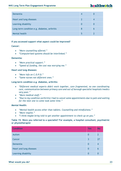| Dementia                                     |   |  |
|----------------------------------------------|---|--|
| Heart and lung diseases                      |   |  |
| Learning disability                          | O |  |
| Long-term condition e.g. diabetes, arthritis | 8 |  |
| Mental health                                |   |  |

# **If you accessed support what aspect could be improved?**

# **Cancer:**

- *"More counselling offered."*
- *"Computerised systems should be interlinked."*

# **Dementia:**

- *"More practical support."*
- *"Speed of funding, the cost was worrying me."*

# **Heart and lung diseases:**

- *"More info on C.O.P.D."*
- *"Same nurses not different ones."*

# **Long-term condition e.g. diabetes, arthritis:**

- *"Different medical experts didn't work together, care fragmented, no one coordinating care, communication between primary care and out of borough specialist hospitals/medics very poor."*
- *"More medical staff."*
- *"Due to my condition (arthritis) I had to cancel some appointments due to pain and waiting for the next one to come took some time."*

# **Mental Health:**

- *"Mental health access other than tablets. Counselling and mindfulness."*
- *"More respite."*
- *"I think maybe bring told to get another appointment to check up on you."*

# **Table 15: Were you referred to a specialist? For example, a hospital consultant, psychiatrist or physiotherapist**

| <b>Condition</b>        | <b>Yes</b> | <b>No</b> |
|-------------------------|------------|-----------|
| Autism                  | 0          |           |
| Cancer                  | 3          | 27        |
| Dementia                | 0          | -4        |
| Heart and lung diseases | 0          | 6         |
| Learning disability     | 0          |           |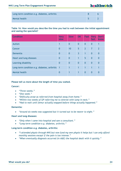# healthwatch

| Long-term condition e.g. diabetes, arthritis |  |
|----------------------------------------------|--|
| Mental health                                |  |

# **Table 16: How would you describe the time you had to wait between the initial appointment and seeing the specialist?**

| <b>Condition</b>                             | <b>Very</b><br>slow | <b>Slow</b>             | OK             | Fast           | <b>Very</b><br>fast | Don't<br>know  |
|----------------------------------------------|---------------------|-------------------------|----------------|----------------|---------------------|----------------|
| Autism                                       | 1                   | $\bf{0}$                | $\overline{0}$ | $\overline{0}$ | $\overline{0}$      | $\overline{1}$ |
| Cancer                                       | $\overline{0}$      | 10                      | 5              | $\overline{2}$ | $\overline{7}$      | $\overline{2}$ |
| <b>Dementia</b>                              | $\overline{0}$      | $\overline{0}$          | $\overline{3}$ | $\mathbf 1$    | $\overline{0}$      | $\overline{0}$ |
| Heart and lung diseases                      | $\mathbf 0$         | $\overline{0}$          | 1              | 5              | $\overline{0}$      | $\overline{0}$ |
| Learning disability                          | $\overline{0}$      | $\overline{0}$          | $\overline{0}$ | $\overline{0}$ | $\overline{0}$      | $\overline{0}$ |
| Long-term condition e.g. diabetes, arthritis | $\mathbf 1$         | 1                       | $\overline{1}$ | $\mathbf 1$    | $\mathbf 1$         | $\mathbf 1$    |
| Mental health                                | 0                   | $\overline{\mathbf{1}}$ | 1              | $\overline{0}$ | $\overline{0}$      | $\overline{0}$ |

# **Please tell us more about the length of time you waited.**

# **Cancer:**

- *"Three weeks."*
- *"One week."*
- *"Difficulty arose as referred from hospital away from home."*
- *"Within two weeks of GP referring me to Aintree with lump in neck."*
- *"Had to wait until femur actually snapped before things actually happened."*

# **Dementia:**

• *"Around six weeks was suggested but it turned out to be nearer to eight."*

# **Heart and lung diseases:**

- *"Only when I came into hospital and saw a consultant."*
- *"Long-term condition e.g. diabetes, arthritis."*

# **Long-term condition e.g. diabetes, arthritis:**

- *"I attended physio through NHS but now fund my own physio it helps but I can only afford monthly sessions except if the pain is too intense."*
- *"When eventually diagnosis occurred (in A&E) the hospital dealt with it quickly."*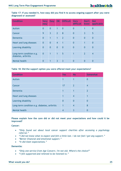# **Table 17: If you needed it, how easy did you find it to access ongoing support after you were diagnosed or assessed?**

| <b>Condition</b>                                | <b>Very</b><br>easy | <b>Easy</b>    | <b>OK</b>      | <b>Difficult</b> | <b>Very</b><br>difficult | Don't<br>know  | <b>Not</b><br>applicable |
|-------------------------------------------------|---------------------|----------------|----------------|------------------|--------------------------|----------------|--------------------------|
| Autism                                          | $\overline{0}$      | $\overline{0}$ | 1              | $\overline{0}$   | $\overline{0}$           |                | $\overline{0}$           |
| Cancer                                          | 9                   | $\overline{3}$ | $\overline{2}$ | $\overline{8}$   | $\overline{0}$           | $\overline{3}$ | 5                        |
| Dementia                                        | $\overline{0}$      | 1              | $\mathbf{1}$   | $\overline{2}$   | $\overline{0}$           | $\Omega$       | $\overline{0}$           |
| Heart and lung diseases                         | $\overline{0}$      | $\overline{0}$ | $\overline{4}$ | 1                | $\overline{0}$           |                | $\overline{0}$           |
| Learning disability                             | $\overline{0}$      | $\overline{0}$ | $\mathbf{0}$   | $\overline{0}$   | $\overline{0}$           | $\Omega$       | $\overline{0}$           |
| Long-term condition e.g.<br>diabetes, arthritis | $\overline{0}$      | 1              | $\mathbf{1}$   | 5                | 1                        | $\overline{2}$ | $\overline{4}$           |
| Mental health                                   | 0                   |                | 3              | 3                | 0                        | 0              | 0                        |

# **Table 18: Did the support option you were offered meet your expectations?**

| <b>Condition</b>                             | <b>Yes</b>     | <b>No</b>      | <b>Somewhat</b> |
|----------------------------------------------|----------------|----------------|-----------------|
| Autism                                       | 1              |                | 0               |
| Cancer                                       | 17             | $\overline{2}$ | 4               |
| <b>Dementia</b>                              |                |                | $\overline{2}$  |
| Heart and lung diseases                      |                | $\overline{4}$ |                 |
| Learning disability                          | $\overline{0}$ | $\overline{0}$ | 0               |
| Long-term condition e.g. diabetes, arthritis | $\mathbf 1$    | $\overline{4}$ | 8               |
| Mental health                                | 4              | 3              |                 |

# **Please explain how the care did or did not meet your expectations and how could it be improved?**

# **Cancer:**

- *"Only found out about local cancer support charities after accessing a psychology referral."*
- *"I did not know what to expect and felt a little lost. I do not feel I got any support."*
- *"Better financial and emotional support."*
- *"It did meet expectations."*

# **Dementia:**

- *"Only one service from Age Concern. I'm not old. Where's the choice?"*
- *"I felt supported and relieved to be listened to."*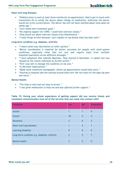# **Heart and lung diseases:**

- *"Podiatry have to wait at least three months for an appointment. Had to get in touch with Consultants PA to notify the doctor about change of medication, otherwise the doctor would not write a prescription. The doctor has still not been notified about tests done six weeks ago."*
- *"Care needs met/treatment good."*
- *"No ongoing support for COPD, I could have exercise classes."*
- *"Only found out about exercise classes from Healthwatch."*
- *"I need things written because I can't explain to my family what has been said."*

# **Long-term condition e.g. diabetes, arthritis:**

- *"I wasn't given any information on other options."*
- *"Better coordination is required for better outcomes for people with multi-system conditions, especially those that are rare and require input from multiple hospitals/specialists across different boroughs."*
- *"I have symptoms that indicate Myeloma. They started in November. A repeat test was refused as the results indicated no further action."*
- *"Felt I was left to manage the condition on my own."*
- *"It did meet expectations."*
- *"Made some conditions manageable, follow up appointments would help more."*
- *"Getting to hospital and the waiting around often felt like too much on the days my pain was worst."*

# **Mental Health:**

- *"Too long to wait and not easy to access."*
- *"I was given medication to help me and also offered further support."*

| <b>Condition</b>                             | <b>Yes</b>     | <b>No</b>      | <b>Somewhat</b> |
|----------------------------------------------|----------------|----------------|-----------------|
| Autism                                       | 1              | 1              | $\bm{0}$        |
| Cancer                                       | 18             | $\overline{2}$ | $\overline{4}$  |
| <b>Dementia</b>                              | $\overline{2}$ | $\overline{0}$ | $\overline{2}$  |
| Heart and lung diseases                      |                | $\overline{4}$ |                 |
| Learning disability                          | $\Omega$       | $\overline{0}$ | $\bm{0}$        |
| Long-term condition e.g. diabetes, arthritis | $\overline{2}$ | 5              | 7               |
| Mental health                                | $\overline{2}$ | 5              | 0               |

### **Table 19: During your whole experience of getting support did you receive timely and consistent communication from all of the services that you came into contact with?**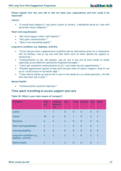**Please explain how the care did or did not meet your expectations and how could it be improved?**

# **Cancer:**

• *"It would have helped if I was given a point of contact, a MacMillan Nurse as I was with my breast cancer diagnosis."*

# **Heart and lung diseases:**

- *"Not much support when I left hospital."*
- *"Very poor communication."*
- *"Have to do everything myself."*

# **Long-term condition e.g. diabetes, arthritis:**

- *"To be told you have a degenerative condition and no information given on it whatsoever left me feeling I was on my own and that there were no other options for support or monitoring."*
- *"Communication to me, the patient, was ok, but it was not ok from medic to medic especially across different specialties/hospitals/boroughs."*
- *"I don't get consistent communication at all; I just make my own appointments."*
- *"Flexible appointment system to help with the pain when it's bad or maybe a "drop-in" set up so I could access on my better days."*
- *"I have had no follow-up and as this is now in the hands of a so-called specialist, the GPs feel that their job is done."*

# **Mental Health:**

• *"Communication could be improved."*

# **Time spent travelling to access support and care**

# **Table 20: What is your main means of transport?**

| <b>Condition</b>                                | <b>Own</b><br>car | <b>Another</b><br>person's<br>car | <b>Bus</b>     | <b>Train</b>   | <b>Bicycle</b> | <b>Taxi</b>    | <b>Other</b>   |
|-------------------------------------------------|-------------------|-----------------------------------|----------------|----------------|----------------|----------------|----------------|
| Autism                                          |                   | 1                                 | $\overline{0}$ | $\mathbf{0}$   | $\overline{0}$ | $\overline{0}$ | $\overline{0}$ |
| Cancer                                          | 18                | 6                                 | $\overline{0}$ | $\mathbf{1}$   | $\overline{0}$ | $\overline{2}$ | $\overline{2}$ |
| <b>Dementia</b>                                 | $\overline{0}$    | $\overline{2}$                    | $\overline{2}$ | $\overline{0}$ | $\overline{0}$ | $\overline{0}$ | $\overline{0}$ |
| Heart and lung diseases                         | $\overline{3}$    | 1                                 | 1              | $\overline{0}$ | $\overline{0}$ | $\overline{0}$ | 1              |
| Learning disability                             | $\overline{0}$    | $\overline{0}$                    | $\overline{0}$ | $\overline{0}$ | $\overline{0}$ | $\overline{0}$ | $\overline{0}$ |
| Long-term condition e.g.<br>diabetes, arthritis | $\overline{3}$    | 3                                 | $\overline{2}$ | $\mathbf{1}$   | $\overline{0}$ | $\overline{2}$ | $\overline{3}$ |
| Mental health                                   | $\overline{2}$    |                                   | $\overline{3}$ | $\Omega$       | 0              | 0              |                |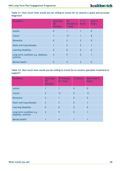| Table 21: How much time would you be willing to travel for to receive a quick and accurate |  |  |  |  |  |  |  |  |  |
|--------------------------------------------------------------------------------------------|--|--|--|--|--|--|--|--|--|
| diagnosis?                                                                                 |  |  |  |  |  |  |  |  |  |

| <b>Condition</b>                                | Less than<br>30<br>minutes | 30<br>minutes to<br>1 hour | $1 - 2$<br>hours | Over <sub>2</sub><br>hours |
|-------------------------------------------------|----------------------------|----------------------------|------------------|----------------------------|
| <b>Autism</b>                                   | 0                          |                            | 1                | 0                          |
| Cancer                                          | 1                          | 17                         | 1                | 8                          |
| Dementia                                        | $\overline{0}$             | $\overline{2}$             | $\overline{2}$   | $\Omega$                   |
| Heart and lung diseases                         | 1                          | $\overline{2}$             | $\overline{2}$   |                            |
| Learning disability                             | 0                          | 0                          | $\Omega$         | $\Omega$                   |
| Long-term condition e.g. diabetes,<br>arthritis | $\overline{4}$             | 9                          | 0                |                            |
| <b>Mental health</b>                            | 0                          | $\overline{\mathcal{A}}$   | $\overline{2}$   | 0                          |

# **Table 22: How much time would you be willing to travel for to receive specialist treatment or support?**

| <b>Condition</b>                                | Less than<br>30<br>minutes | <b>30 minutes</b><br>to 1 hour | 1-2 hours | More than 2<br>hours |
|-------------------------------------------------|----------------------------|--------------------------------|-----------|----------------------|
| Autism                                          | 1                          | 1                              | $\Omega$  | $\bf{0}$             |
| Cancer                                          | 5                          | 11                             | $\Omega$  | 11                   |
| Dementia                                        | $\overline{3}$             | 1                              | $\Omega$  | $\bf{0}$             |
| Heart and lung diseases                         | $\overline{2}$             | $\overline{3}$                 | $\Omega$  |                      |
| Learning disability                             | $\overline{0}$             | $\overline{0}$                 | $\Omega$  | 0                    |
| Long-term condition e.g.<br>diabetes, arthritis | $\overline{4}$             | 9                              | O         | 1                    |
| Mental health                                   |                            | 4                              |           |                      |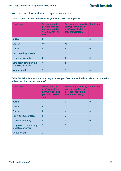# **Your expectations at each stage of your care**

# **Table 23: What is most important to you when first seeking help?**

| <b>Condition</b>                                | Seeing a health<br>professional you<br>normally see but<br>you may have to<br>wait | Seeing any medically<br>appropriate health<br>professional who is<br>free immediately | Don't mind     |
|-------------------------------------------------|------------------------------------------------------------------------------------|---------------------------------------------------------------------------------------|----------------|
| <b>Autism</b>                                   | 0                                                                                  | 1                                                                                     | 0              |
| Cancer                                          | 10                                                                                 | 15                                                                                    | 1              |
| <b>Dementia</b>                                 | 0                                                                                  | $\overline{4}$                                                                        | $\bf{0}$       |
| Heart and lung diseases                         | 1                                                                                  | $\overline{3}$                                                                        | $\overline{2}$ |
| Learning disability                             | $\overline{0}$                                                                     | $\overline{0}$                                                                        | $\overline{0}$ |
| Long-term condition e.g.<br>diabetes, arthritis | $\overline{\mathbf{1}}$                                                            | 8                                                                                     | $\overline{3}$ |
| Mental health                                   | 3                                                                                  | 3                                                                                     | 0              |

# **Table 24: What is most important to you when you first received a diagnosis and explanation of treatment or support options?**

| <b>Condition</b>                                | Seeing a health<br>professional you<br>normally see but<br>you may have to<br>wait | Seeing any medically<br>appropriate health<br>professional who is<br>free immediately | Don't mind     |
|-------------------------------------------------|------------------------------------------------------------------------------------|---------------------------------------------------------------------------------------|----------------|
| <b>Autism</b>                                   | 1                                                                                  | $\bf{0}$                                                                              | $\bf{0}$       |
| Cancer                                          | 9                                                                                  | 15                                                                                    |                |
| Dementia                                        | 0                                                                                  | $\overline{4}$                                                                        | $\bm{0}$       |
| Heart and lung diseases                         | $\overline{0}$                                                                     | $\overline{3}$                                                                        | $\overline{3}$ |
| Learning disability                             | $\overline{0}$                                                                     | $\overline{0}$                                                                        | $\overline{0}$ |
| Long-term condition e.g.<br>diabetes, arthritis | 5                                                                                  | 5                                                                                     | $\overline{3}$ |
| <b>Mental health</b>                            | 2                                                                                  |                                                                                       | 3              |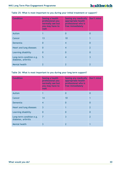| <b>Condition</b>                                | Seeing a health<br>professional you<br>normally see but<br>you may have to<br>wait | Seeing any medically<br>appropriate health<br>professional who is<br>free immediately | Don't mind     |
|-------------------------------------------------|------------------------------------------------------------------------------------|---------------------------------------------------------------------------------------|----------------|
| <b>Autism</b>                                   | 1                                                                                  | 0                                                                                     | $\Omega$       |
| Cancer                                          | 13                                                                                 | 10                                                                                    |                |
| Dementia                                        | 0                                                                                  | $\overline{4}$                                                                        | $\overline{0}$ |
| Heart and lung diseases                         | $\overline{0}$                                                                     | $\overline{4}$                                                                        | $\overline{2}$ |
| Learning disability                             | 0                                                                                  | 0                                                                                     | $\overline{0}$ |
| Long-term condition e.g.<br>diabetes, arthritis | 5                                                                                  | $\overline{4}$                                                                        | $\overline{3}$ |
| Mental health                                   | 2                                                                                  | 2                                                                                     | $\overline{2}$ |

# **Table 25: What is most important to you during your initial treatment or support?**

# **Table 26: What is most important to you during your long term support?**

| <b>Condition</b>                                | Seeing a health<br>professional you<br>normally see but<br>you may have to<br>wait | <b>Seeing any medically</b><br>appropriate health<br>professional who is<br>free immediately | Don't mind     |
|-------------------------------------------------|------------------------------------------------------------------------------------|----------------------------------------------------------------------------------------------|----------------|
| Autism                                          | 1                                                                                  | $\bm{0}$                                                                                     | 0              |
| Cancer                                          | 14                                                                                 | 10                                                                                           | 1              |
| Dementia                                        | $\overline{4}$                                                                     | $\overline{0}$                                                                               | $\overline{0}$ |
| Heart and lung diseases                         | $\overline{3}$                                                                     | 1                                                                                            | $\overline{2}$ |
| Learning disability                             | $\overline{0}$                                                                     | $\overline{0}$                                                                               | $\overline{0}$ |
| Long-term condition e.g.<br>diabetes, arthritis | $\overline{7}$                                                                     | $\overline{3}$                                                                               | $\overline{2}$ |
| <b>Mental health</b>                            | 3                                                                                  | 2                                                                                            | 1              |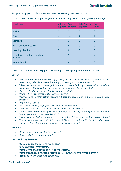# **Supporting you to have more control over your own care**

| <b>Condition</b>                                | A lot of<br>support | <b>Some</b><br>support | I don't need<br>support | Don't<br>know  |
|-------------------------------------------------|---------------------|------------------------|-------------------------|----------------|
| Autism                                          | $\bf{0}$            | $\overline{2}$         | $\overline{0}$          | 0              |
| Cancer                                          | $\overline{4}$      | 14                     | 7                       | $\overline{2}$ |
| <b>Dementia</b>                                 | 1                   | $\overline{3}$         | $\overline{0}$          | $\overline{0}$ |
| Heart and lung diseases                         | $\overline{0}$      | $6\phantom{1}6$        | $\overline{0}$          | $\overline{0}$ |
| Learning disability                             | $\overline{0}$      | $\overline{0}$         | $\overline{0}$          | $\overline{0}$ |
| Long-term condition e.g. diabetes,<br>arthritis | $\overline{3}$      | 9                      | 0                       | 2              |
| Mental health                                   |                     | 6                      | 0                       | 0              |

# **Table 27: What level of support of you want the NHS to provide to help you stay healthy?**

# **What could the NHS do to help you stay healthy or manage any condition you have?**

# **Cancer:**

- *"Look at a person more 'holistically', taking into account other health problems. Earlier detection of other health conditions e.g., screening for skin cancers etc."*
- *"Make doctors surgeries work full time and not do only 3 days a week with one admin Doctor's receptionist telling you there are no appointments for 3 weeks."*
- *"Increase funding & staffing levels to all areas of NHS."*
- *"I would like easy access to the services I need."*
- *"Provide specific information regarding illness and treatments available, including side effects."*
- *"Explain my options."*
- *"Increase frequency of physio treatment to the individual."*
- *"Continue to provide relevant treatment and access to services."*
- *"I would love to see more information on living with cancer, including lifestyle - i.e. how I can help myself... diet, exercise etc."*
- *It's important to feel in control and that I am doing all that I can, not just medical/drugs."*
- *"Current treatment good. Went to clinic at Chester every 6 months but I felt they were not interested - 3.5 years for diagnosis is not good enough."*

# **Dementia:**

- *"Offer more support for family/respite."*
- *"Quicker doctor's appointments."*

# **Heart and Lung Diseases:**

- *"Be able to see the doctor when needed."*
- *"Give consistent information."*
- *"More information/advice on how to stay healthy."*
- *"More proactively give people incentives i.e. gym membership/free classes."*
- *"Someone to ring when I am struggling."*

# **What would you do? 31**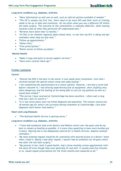# **Long-term condition e.g. diabetes, arthritis:**

- *"More information on self-care as well, such as referral options available if needed."*
- *"The GP is usually the first line, there need to be more GPs and their level of training needs to be up to date and consistent. All too often when you see a different GP within the same surgery. The outcome of the consultation is radically different, often leaning towards a bias of what that particular GP understands best."*
- *"Reviews more often than 12 months."*
- *"I'd like to be checked regularly about blood tests, to see how my B12 is doing and get reminders when they are due next."*
- *"Follow up appointments."*
- *"Home visits."*
- *"Free prescriptions."*
- *"Easier access to follow up physio."*

# **Mental Health:**

- *"Make it easy and quick to access support services."*
- *"Have more routine check-ups."*

# **Further comments**

# **Cancer:**

- *"Overall the NHS is the best in the world. It just needs more investment. Care that I received outside the special cancer areas was sadly lacking."*
- *"I am completing this questionnaire as a cancer patient. However, I am also a nurse and before I became ill, I was directly experiencing lack of equipment, short staffing (very often dangerous) and the feeling of not being able to care for my patients as well as I would have wished."*
- *"The service I have received at Clatterbridge has been excellent. I often wait a long time but I feel it's worth it."*
- *"It is now seven years since my initial diagnosis and operation. The tumour reoccurred, 18 months ago for which I am currently having treatment at Clatterbridge. Care after diagnosis much better than before."*

# **Heart and Lung Diseases:**

• *"The National Health Service is getting worse."*

# **Long-term condition e.g. diabetes, arthritis:**

- *"I have had wonderful help from doctors and Walton centre over the years and do my best to remain as healthy as possible. It is more than upsetting to have more hurdles put in place. Hearing loss is not adequately catered for in health services, despite constant reminders."*
- *"My most pressing request would be for continuity with assured access to a doctor I know when I need it. Mostly I look after myself, I haven't had an antibiotic for 44 years which was after the last back surgery."*
- *"My parents in law, both in good health, had a three-monthly review appointment with the same GP even though they were generally fit and well. It usually took five minutes or so, issued repeat prescriptions for the three months and reassured us all."*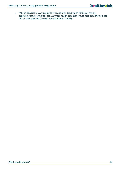• *"My GP practice is very good and it is not their fault when forms go missing, appointments are delayed, etc. A proper health care plan would help both the GPs and me to work together to keep me out of their surgery."*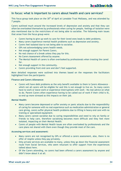# **In focus: what is important to carers about health and care services?**

This focus group took place on the 30<sup>th</sup> of April at Lonsdale Trust Wallasey, and was attended by 7 people.

Carers outlined much around the increased levels of depression and anxiety and that they can often be overlooked themselves by professionals when caring for people, feelings of isolation were also mentioned due to the restrictions of not being able to socialise. The following main issues that arose from the focus group were:

- Carers having to give up work to care for their loved ones leads to debt problems.
- Many carers experience mental health problems such as depression and anxiety.
- Carers feel isolated due to not being able to socialise.
- GPs not acknowledging carers health needs.
- Not enough support for Parent Carers.
- No real chance of a break unless they pay for this.
- No Carers Assessment offered by anyone.
- The Mental Health of carers is often overlooked by professionals when treating the cared for.
- Not enough support in the community.
- Carers providing front end care and don't feel supported.

More detailed responses were outlined into themes based on the responses the facilitators highlighted from the participants:

### **Finance and Carers Allowance:**

• Carers will have debt problems as the only benefit available to them is Carers Allowance – which not all carers will be eligible for and this is not enough to live on. So many carers have to work or leave work or experience interruptions with work - No real advice on what to do. Parent Carers often experience having to be called out of work if their child is ill, so end up more stressed as this impacts on their job.

# **Mental Health:**

- Many carers become depressed or suffer anxiety or panic attacks due to the responsibility of caring for someone with no real experience such as medication administration or general care giving, carers suffer physical health problems due to lifting in heavy end care with no training or specialised equipment.
- Many carers cannot socialise due to caring responsibilities and need to rely on family or friends to help care, therefore socialising becomes more difficult and they feel more isolated, impacting on their Mental Health.
- Carers of people with Mental Health issues are often overlooked by professionals and the care plans not shared with them even though they provide most of the care.

# **Accessing services and assessment:**

- Many carers are not recognised by GPs or offered a carers assessment, also, there is no offer of respite unless they pay privately.
- Only private services are available to many, unless they go down the financial assessment route from Social Services, who seem reluctant to offer support from the experiences talked about here.
- Of the Carers attending, no carers had been offered a carers assessment by anyone and didn't know about it at all.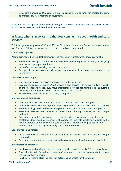• Many carers providing 24/7 care with no real support from anyone, not treated the same as professionals with training or equipment.

A second focus group was undertaken focusing on the Deaf community and what they thought about their experiences with health and care services.

# **In focus: what is important to the deaf community about health and care services?**

This focus group took place on 25<sup>th</sup> April 2019 at Birkenhead Park Visitor Centre, and was attended by 17 people. Below is a summary of the themes and issues they raised:

# **Community support:**

People commented on the deaf community and how much representation there is available.

- There is not enough consultation with the deaf Community when planning or designing services and the impact on them.
- No deaf expert representing the deaf community.
- Deaf people not accessing holistic support such as alcohol/ substance misuse due to no interpreters.

# **Care service and support:**

- Poor quality translating services at hospitals and Primary Care.
- Organisation currently used in Wirral provide a poor service with no continuity or thought of the individual's needs, e.g. male interpreter provided for female patient during a mammogram, interpreter arrives late or doesn't show up at all.
- No deaf counsellors available for talking therapies.

# **Information and awareness:**

- Lack of awareness from ambulance teams in communication with deaf people.
- Lack of awareness with health professionals in general in communication with deaf people.
- More technology needs to be used in urgent care for communication with deaf people.
- Patient experience questionnaire not available in the right format, so deaf people excluded.
- Deaf people need information and advice in the right format to prevent health issues escalating. Understanding the impacts of Diabetes for example should be available to the more vulnerable of our community, such as the deaf. There are inequalities re: the information to the hearing community compared to the deaf.

# **Consultations and notice:**

- After consultations there needs to be actions made with real outcomes and meaningful consultation.
- Deaf people given referrals to support in the community with no interpreters available.

# **Interpreters and support:**

- No choice when booking an interpreter- poor quality service no list/directory available.
- Small charity underfunded not enough staff to represent the deaf community to explain the issues affecting them.
- No choice of interpreters- no list or directory, so no choice for the patient.

# **What would you do? 35**